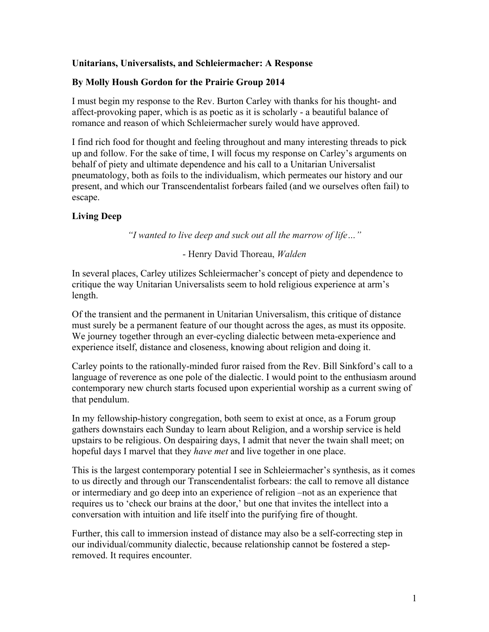## **Unitarians, Universalists, and Schleiermacher: A Response**

### **By Molly Housh Gordon for the Prairie Group 2014**

I must begin my response to the Rev. Burton Carley with thanks for his thought- and affect-provoking paper, which is as poetic as it is scholarly - a beautiful balance of romance and reason of which Schleiermacher surely would have approved.

I find rich food for thought and feeling throughout and many interesting threads to pick up and follow. For the sake of time, I will focus my response on Carley's arguments on behalf of piety and ultimate dependence and his call to a Unitarian Universalist pneumatology, both as foils to the individualism, which permeates our history and our present, and which our Transcendentalist forbears failed (and we ourselves often fail) to escape.

### **Living Deep**

*"I wanted to live deep and suck out all the marrow of life…"*

#### - Henry David Thoreau, *Walden*

In several places, Carley utilizes Schleiermacher's concept of piety and dependence to critique the way Unitarian Universalists seem to hold religious experience at arm's length.

Of the transient and the permanent in Unitarian Universalism, this critique of distance must surely be a permanent feature of our thought across the ages, as must its opposite. We journey together through an ever-cycling dialectic between meta-experience and experience itself, distance and closeness, knowing about religion and doing it.

Carley points to the rationally-minded furor raised from the Rev. Bill Sinkford's call to a language of reverence as one pole of the dialectic. I would point to the enthusiasm around contemporary new church starts focused upon experiential worship as a current swing of that pendulum.

In my fellowship-history congregation, both seem to exist at once, as a Forum group gathers downstairs each Sunday to learn about Religion, and a worship service is held upstairs to be religious. On despairing days, I admit that never the twain shall meet; on hopeful days I marvel that they *have met* and live together in one place.

This is the largest contemporary potential I see in Schleiermacher's synthesis, as it comes to us directly and through our Transcendentalist forbears: the call to remove all distance or intermediary and go deep into an experience of religion –not as an experience that requires us to 'check our brains at the door,' but one that invites the intellect into a conversation with intuition and life itself into the purifying fire of thought.

Further, this call to immersion instead of distance may also be a self-correcting step in our individual/community dialectic, because relationship cannot be fostered a stepremoved. It requires encounter.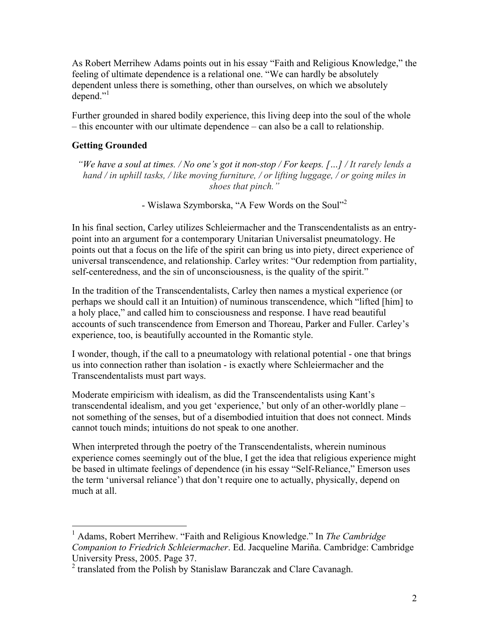As Robert Merrihew Adams points out in his essay "Faith and Religious Knowledge," the feeling of ultimate dependence is a relational one. "We can hardly be absolutely dependent unless there is something, other than ourselves, on which we absolutely depend." $\cdot$ 

Further grounded in shared bodily experience, this living deep into the soul of the whole – this encounter with our ultimate dependence – can also be a call to relationship.

# **Getting Grounded**

*"We have a soul at times. / No one's got it non-stop / For keeps. […] / It rarely lends a hand / in uphill tasks, / like moving furniture, / or lifting luggage, / or going miles in shoes that pinch."*

- Wislawa Szymborska, "A Few Words on the Soul"<sup>2</sup>

In his final section, Carley utilizes Schleiermacher and the Transcendentalists as an entrypoint into an argument for a contemporary Unitarian Universalist pneumatology. He points out that a focus on the life of the spirit can bring us into piety, direct experience of universal transcendence, and relationship. Carley writes: "Our redemption from partiality, self-centeredness, and the sin of unconsciousness, is the quality of the spirit."

In the tradition of the Transcendentalists, Carley then names a mystical experience (or perhaps we should call it an Intuition) of numinous transcendence, which "lifted [him] to a holy place," and called him to consciousness and response. I have read beautiful accounts of such transcendence from Emerson and Thoreau, Parker and Fuller. Carley's experience, too, is beautifully accounted in the Romantic style.

I wonder, though, if the call to a pneumatology with relational potential - one that brings us into connection rather than isolation - is exactly where Schleiermacher and the Transcendentalists must part ways.

Moderate empiricism with idealism, as did the Transcendentalists using Kant's transcendental idealism, and you get 'experience,' but only of an other-worldly plane – not something of the senses, but of a disembodied intuition that does not connect. Minds cannot touch minds; intuitions do not speak to one another.

When interpreted through the poetry of the Transcendentalists, wherein numinous experience comes seemingly out of the blue, I get the idea that religious experience might be based in ultimate feelings of dependence (in his essay "Self-Reliance," Emerson uses the term 'universal reliance') that don't require one to actually, physically, depend on much at all.

 <sup>1</sup> Adams, Robert Merrihew. "Faith and Religious Knowledge." In *The Cambridge Companion to Friedrich Schleiermacher*. Ed. Jacqueline Mariña. Cambridge: Cambridge University Press, 2005. Page 37.

<sup>2</sup> translated from the Polish by Stanislaw Baranczak and Clare Cavanagh.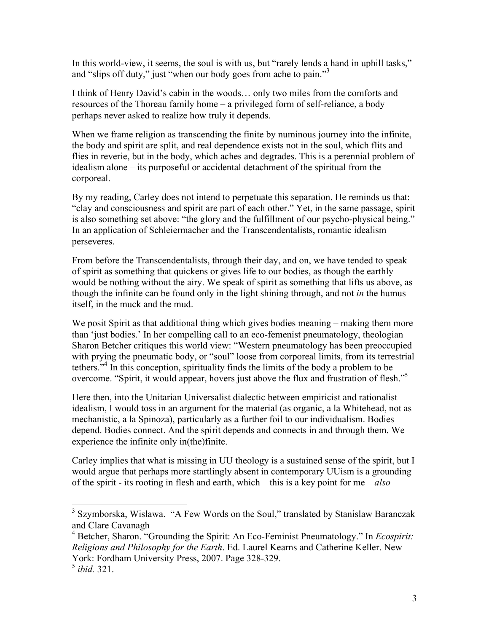In this world-view, it seems, the soul is with us, but "rarely lends a hand in uphill tasks," and "slips off duty," just "when our body goes from ache to pain."<sup>3</sup>

I think of Henry David's cabin in the woods… only two miles from the comforts and resources of the Thoreau family home – a privileged form of self-reliance, a body perhaps never asked to realize how truly it depends.

When we frame religion as transcending the finite by numinous journey into the infinite, the body and spirit are split, and real dependence exists not in the soul, which flits and flies in reverie, but in the body, which aches and degrades. This is a perennial problem of idealism alone – its purposeful or accidental detachment of the spiritual from the corporeal.

By my reading, Carley does not intend to perpetuate this separation. He reminds us that: "clay and consciousness and spirit are part of each other." Yet, in the same passage, spirit is also something set above: "the glory and the fulfillment of our psycho-physical being." In an application of Schleiermacher and the Transcendentalists, romantic idealism perseveres.

From before the Transcendentalists, through their day, and on, we have tended to speak of spirit as something that quickens or gives life to our bodies, as though the earthly would be nothing without the airy. We speak of spirit as something that lifts us above, as though the infinite can be found only in the light shining through, and not *in* the humus itself, in the muck and the mud.

We posit Spirit as that additional thing which gives bodies meaning – making them more than 'just bodies.' In her compelling call to an eco-femenist pneumatology, theologian Sharon Betcher critiques this world view: "Western pneumatology has been preoccupied with prying the pneumatic body, or "soul" loose from corporeal limits, from its terrestrial tethers.<sup>5,4</sup> In this conception, spirituality finds the limits of the body a problem to be overcome. "Spirit, it would appear, hovers just above the flux and frustration of flesh."<sup>5</sup>

Here then, into the Unitarian Universalist dialectic between empiricist and rationalist idealism, I would toss in an argument for the material (as organic, a la Whitehead, not as mechanistic, a la Spinoza), particularly as a further foil to our individualism. Bodies depend. Bodies connect. And the spirit depends and connects in and through them. We experience the infinite only in(the)finite.

Carley implies that what is missing in UU theology is a sustained sense of the spirit, but I would argue that perhaps more startlingly absent in contemporary UUism is a grounding of the spirit - its rooting in flesh and earth, which – this is a key point for me – *also* 

<sup>&</sup>lt;sup>3</sup> Szymborska, Wislawa. "A Few Words on the Soul," translated by Stanislaw Baranczak and Clare Cavanagh

<sup>4</sup> Betcher, Sharon. "Grounding the Spirit: An Eco-Feminist Pneumatology." In *Ecospirit: Religions and Philosophy for the Earth*. Ed. Laurel Kearns and Catherine Keller. New York: Fordham University Press, 2007. Page 328-329.

<sup>5</sup> *ibid.* 321.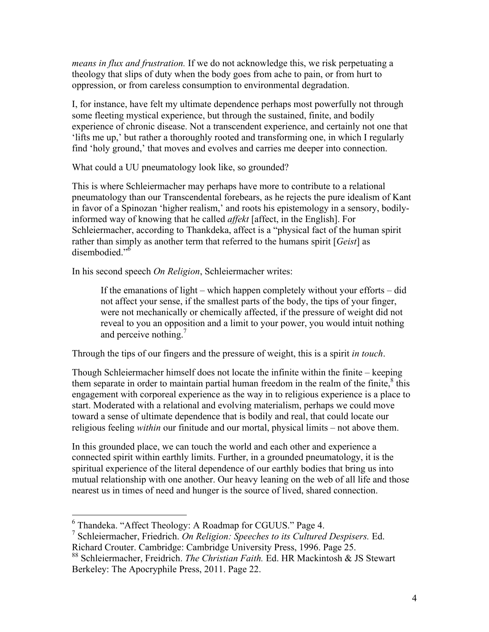*means in flux and frustration.* If we do not acknowledge this, we risk perpetuating a theology that slips of duty when the body goes from ache to pain, or from hurt to oppression, or from careless consumption to environmental degradation.

I, for instance, have felt my ultimate dependence perhaps most powerfully not through some fleeting mystical experience, but through the sustained, finite, and bodily experience of chronic disease. Not a transcendent experience, and certainly not one that 'lifts me up,' but rather a thoroughly rooted and transforming one, in which I regularly find 'holy ground,' that moves and evolves and carries me deeper into connection.

What could a UU pneumatology look like, so grounded?

This is where Schleiermacher may perhaps have more to contribute to a relational pneumatology than our Transcendental forebears, as he rejects the pure idealism of Kant in favor of a Spinozan 'higher realism,' and roots his epistemology in a sensory, bodilyinformed way of knowing that he called *affekt* [affect, in the English]. For Schleiermacher, according to Thankdeka, affect is a "physical fact of the human spirit rather than simply as another term that referred to the humans spirit [*Geist*] as disembodied." 6

In his second speech *On Religion*, Schleiermacher writes:

If the emanations of light – which happen completely without your efforts – did not affect your sense, if the smallest parts of the body, the tips of your finger, were not mechanically or chemically affected, if the pressure of weight did not reveal to you an opposition and a limit to your power, you would intuit nothing and perceive nothing.<sup>7</sup>

Through the tips of our fingers and the pressure of weight, this is a spirit *in touch*.

Though Schleiermacher himself does not locate the infinite within the finite – keeping them separate in order to maintain partial human freedom in the realm of the finite,<sup>8</sup> this engagement with corporeal experience as the way in to religious experience is a place to start. Moderated with a relational and evolving materialism, perhaps we could move toward a sense of ultimate dependence that is bodily and real, that could locate our religious feeling *within* our finitude and our mortal, physical limits – not above them.

In this grounded place, we can touch the world and each other and experience a connected spirit within earthly limits. Further, in a grounded pneumatology, it is the spiritual experience of the literal dependence of our earthly bodies that bring us into mutual relationship with one another. Our heavy leaning on the web of all life and those nearest us in times of need and hunger is the source of lived, shared connection.

 <sup>6</sup> Thandeka. "Affect Theology: A Roadmap for CGUUS." Page 4.

<sup>7</sup> Schleiermacher, Friedrich. *On Religion: Speeches to its Cultured Despisers.* Ed. Richard Crouter. Cambridge: Cambridge University Press, 1996. Page 25.

<sup>88</sup> Schleiermacher, Freidrich. *The Christian Faith.* Ed. HR Mackintosh & JS Stewart Berkeley: The Apocryphile Press, 2011. Page 22.